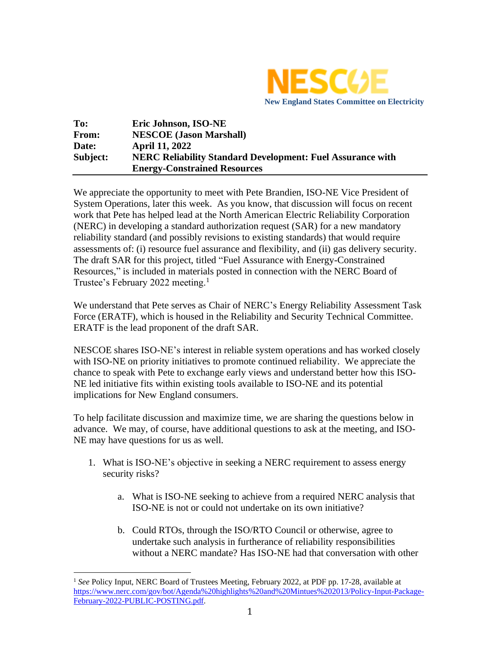

| To:      | Eric Johnson, ISO-NE                                              |
|----------|-------------------------------------------------------------------|
| From:    | <b>NESCOE</b> (Jason Marshall)                                    |
| Date:    | <b>April 11, 2022</b>                                             |
| Subject: | <b>NERC Reliability Standard Development: Fuel Assurance with</b> |
|          | <b>Energy-Constrained Resources</b>                               |

We appreciate the opportunity to meet with Pete Brandien, ISO-NE Vice President of System Operations, later this week. As you know, that discussion will focus on recent work that Pete has helped lead at the North American Electric Reliability Corporation (NERC) in developing a standard authorization request (SAR) for a new mandatory reliability standard (and possibly revisions to existing standards) that would require assessments of: (i) resource fuel assurance and flexibility, and (ii) gas delivery security. The draft SAR for this project, titled "Fuel Assurance with Energy-Constrained Resources," is included in materials posted in connection with the NERC Board of Trustee's February 2022 meeting.<sup>1</sup>

We understand that Pete serves as Chair of NERC's Energy Reliability Assessment Task Force (ERATF), which is housed in the Reliability and Security Technical Committee. ERATF is the lead proponent of the draft SAR.

NESCOE shares ISO-NE's interest in reliable system operations and has worked closely with ISO-NE on priority initiatives to promote continued reliability. We appreciate the chance to speak with Pete to exchange early views and understand better how this ISO-NE led initiative fits within existing tools available to ISO-NE and its potential implications for New England consumers.

To help facilitate discussion and maximize time, we are sharing the questions below in advance. We may, of course, have additional questions to ask at the meeting, and ISO-NE may have questions for us as well.

- 1. What is ISO-NE's objective in seeking a NERC requirement to assess energy security risks?
	- a. What is ISO-NE seeking to achieve from a required NERC analysis that ISO-NE is not or could not undertake on its own initiative?
	- b. Could RTOs, through the ISO/RTO Council or otherwise, agree to undertake such analysis in furtherance of reliability responsibilities without a NERC mandate? Has ISO-NE had that conversation with other

<sup>&</sup>lt;sup>1</sup> See Policy Input, NERC Board of Trustees Meeting, February 2022, at PDF pp. 17-28, available at [https://www.nerc.com/gov/bot/Agenda%20highlights%20and%20Mintues%202013/Policy-Input-Package-](https://www.nerc.com/gov/bot/Agenda%20highlights%20and%20Mintues%202013/Policy-Input-Package-February-2022-PUBLIC-POSTING.pdf)[February-2022-PUBLIC-POSTING.pdf.](https://www.nerc.com/gov/bot/Agenda%20highlights%20and%20Mintues%202013/Policy-Input-Package-February-2022-PUBLIC-POSTING.pdf)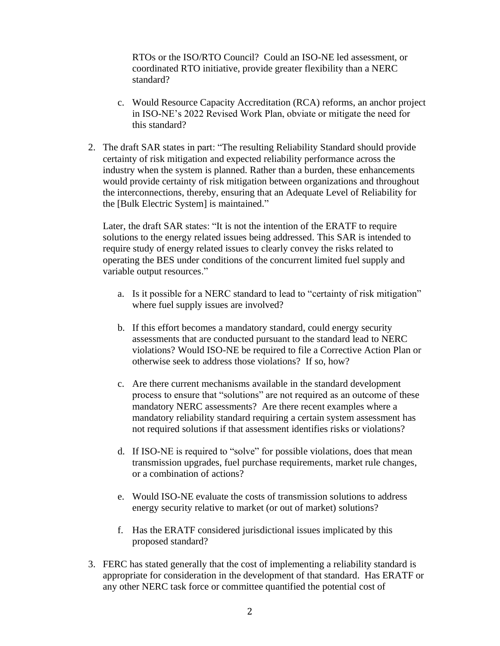RTOs or the ISO/RTO Council? Could an ISO-NE led assessment, or coordinated RTO initiative, provide greater flexibility than a NERC standard?

- c. Would Resource Capacity Accreditation (RCA) reforms, an anchor project in ISO-NE's 2022 Revised Work Plan, obviate or mitigate the need for this standard?
- 2. The draft SAR states in part: "The resulting Reliability Standard should provide certainty of risk mitigation and expected reliability performance across the industry when the system is planned. Rather than a burden, these enhancements would provide certainty of risk mitigation between organizations and throughout the interconnections, thereby, ensuring that an Adequate Level of Reliability for the [Bulk Electric System] is maintained."

Later, the draft SAR states: "It is not the intention of the ERATF to require solutions to the energy related issues being addressed. This SAR is intended to require study of energy related issues to clearly convey the risks related to operating the BES under conditions of the concurrent limited fuel supply and variable output resources."

- a. Is it possible for a NERC standard to lead to "certainty of risk mitigation" where fuel supply issues are involved?
- b. If this effort becomes a mandatory standard, could energy security assessments that are conducted pursuant to the standard lead to NERC violations? Would ISO-NE be required to file a Corrective Action Plan or otherwise seek to address those violations? If so, how?
- c. Are there current mechanisms available in the standard development process to ensure that "solutions" are not required as an outcome of these mandatory NERC assessments? Are there recent examples where a mandatory reliability standard requiring a certain system assessment has not required solutions if that assessment identifies risks or violations?
- d. If ISO-NE is required to "solve" for possible violations, does that mean transmission upgrades, fuel purchase requirements, market rule changes, or a combination of actions?
- e. Would ISO-NE evaluate the costs of transmission solutions to address energy security relative to market (or out of market) solutions?
- f. Has the ERATF considered jurisdictional issues implicated by this proposed standard?
- 3. FERC has stated generally that the cost of implementing a reliability standard is appropriate for consideration in the development of that standard. Has ERATF or any other NERC task force or committee quantified the potential cost of